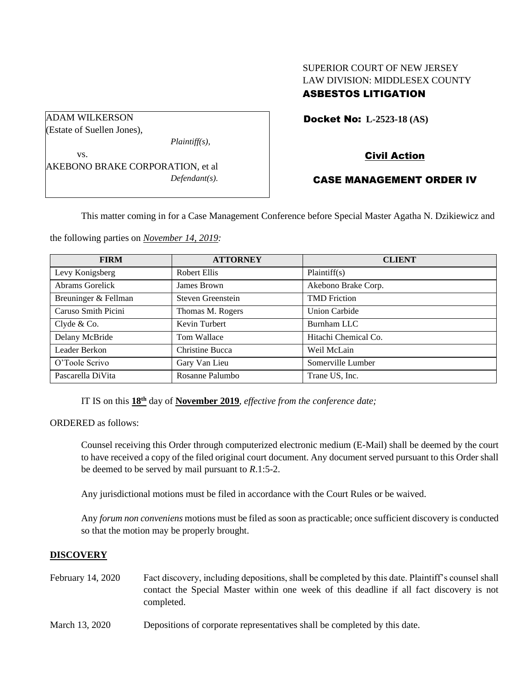# SUPERIOR COURT OF NEW JERSEY LAW DIVISION: MIDDLESEX COUNTY ASBESTOS LITIGATION

Docket No: **L-2523-18 (AS)** 

# Civil Action

## CASE MANAGEMENT ORDER IV

This matter coming in for a Case Management Conference before Special Master Agatha N. Dzikiewicz and

the following parties on *November 14, 2019:*

AKEBONO BRAKE CORPORATION, et al

*Plaintiff(s),*

*Defendant(s).*

| <b>FIRM</b>          | <b>ATTORNEY</b>   | <b>CLIENT</b>        |
|----------------------|-------------------|----------------------|
| Levy Konigsberg      | Robert Ellis      | Plaintiff(s)         |
| Abrams Gorelick      | James Brown       | Akebono Brake Corp.  |
| Breuninger & Fellman | Steven Greenstein | <b>TMD</b> Friction  |
| Caruso Smith Picini  | Thomas M. Rogers  | <b>Union Carbide</b> |
| Clyde $& Co.$        | Kevin Turbert     | Burnham LLC          |
| Delany McBride       | Tom Wallace       | Hitachi Chemical Co. |
| Leader Berkon        | Christine Bucca   | Weil McLain          |
| O'Toole Scrivo       | Gary Van Lieu     | Somerville Lumber    |
| Pascarella DiVita    | Rosanne Palumbo   | Trane US, Inc.       |

IT IS on this **18th** day of **November 2019**, *effective from the conference date;*

ORDERED as follows:

ADAM WILKERSON (Estate of Suellen Jones),

vs.

Counsel receiving this Order through computerized electronic medium (E-Mail) shall be deemed by the court to have received a copy of the filed original court document. Any document served pursuant to this Order shall be deemed to be served by mail pursuant to *R*.1:5-2.

Any jurisdictional motions must be filed in accordance with the Court Rules or be waived.

Any *forum non conveniens* motions must be filed as soon as practicable; once sufficient discovery is conducted so that the motion may be properly brought.

#### **DISCOVERY**

- February 14, 2020 Fact discovery, including depositions, shall be completed by this date. Plaintiff's counsel shall contact the Special Master within one week of this deadline if all fact discovery is not completed.
- March 13, 2020 Depositions of corporate representatives shall be completed by this date.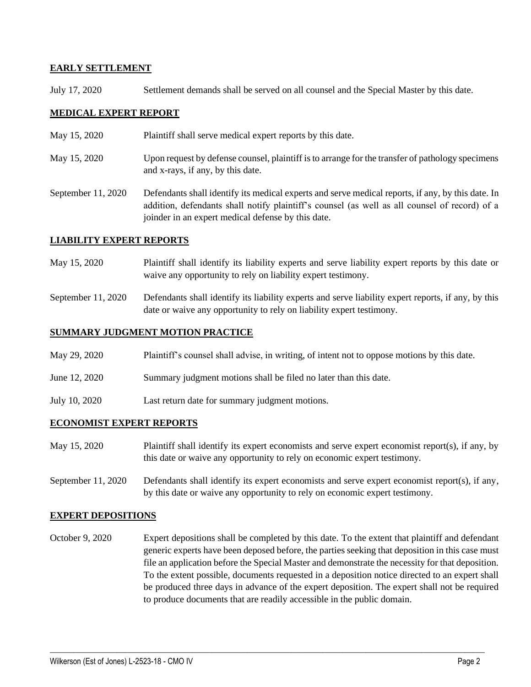### **EARLY SETTLEMENT**

July 17, 2020 Settlement demands shall be served on all counsel and the Special Master by this date.

## **MEDICAL EXPERT REPORT**

- May 15, 2020 Plaintiff shall serve medical expert reports by this date.
- May 15, 2020 Upon request by defense counsel, plaintiff is to arrange for the transfer of pathology specimens and x-rays, if any, by this date.
- September 11, 2020 Defendants shall identify its medical experts and serve medical reports, if any, by this date. In addition, defendants shall notify plaintiff's counsel (as well as all counsel of record) of a joinder in an expert medical defense by this date.

### **LIABILITY EXPERT REPORTS**

- May 15, 2020 Plaintiff shall identify its liability experts and serve liability expert reports by this date or waive any opportunity to rely on liability expert testimony.
- September 11, 2020 Defendants shall identify its liability experts and serve liability expert reports, if any, by this date or waive any opportunity to rely on liability expert testimony.

### **SUMMARY JUDGMENT MOTION PRACTICE**

- May 29, 2020 Plaintiff's counsel shall advise, in writing, of intent not to oppose motions by this date.
- June 12, 2020 Summary judgment motions shall be filed no later than this date.
- July 10, 2020 Last return date for summary judgment motions.

#### **ECONOMIST EXPERT REPORTS**

- May 15, 2020 Plaintiff shall identify its expert economists and serve expert economist report(s), if any, by this date or waive any opportunity to rely on economic expert testimony.
- September 11, 2020 Defendants shall identify its expert economists and serve expert economist report(s), if any, by this date or waive any opportunity to rely on economic expert testimony.

## **EXPERT DEPOSITIONS**

October 9, 2020 Expert depositions shall be completed by this date. To the extent that plaintiff and defendant generic experts have been deposed before, the parties seeking that deposition in this case must file an application before the Special Master and demonstrate the necessity for that deposition. To the extent possible, documents requested in a deposition notice directed to an expert shall be produced three days in advance of the expert deposition. The expert shall not be required to produce documents that are readily accessible in the public domain.

 $\_$  , and the set of the set of the set of the set of the set of the set of the set of the set of the set of the set of the set of the set of the set of the set of the set of the set of the set of the set of the set of th